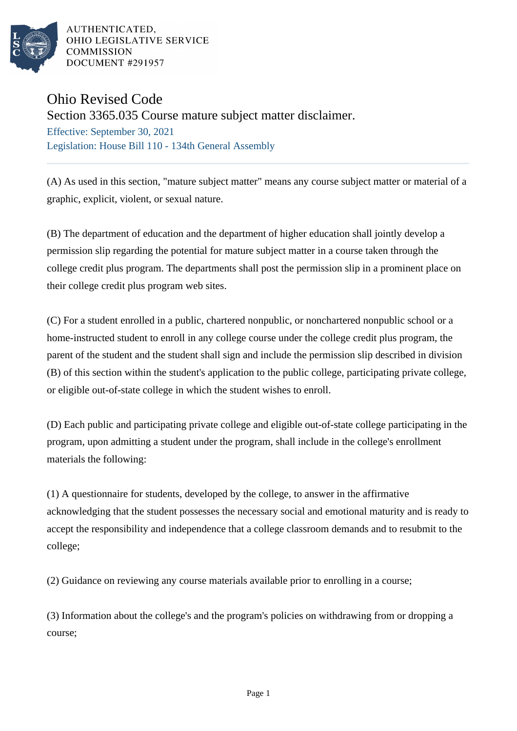

AUTHENTICATED. OHIO LEGISLATIVE SERVICE **COMMISSION** DOCUMENT #291957

## Ohio Revised Code

Section 3365.035 Course mature subject matter disclaimer.

Effective: September 30, 2021 Legislation: House Bill 110 - 134th General Assembly

(A) As used in this section, "mature subject matter" means any course subject matter or material of a graphic, explicit, violent, or sexual nature.

(B) The department of education and the department of higher education shall jointly develop a permission slip regarding the potential for mature subject matter in a course taken through the college credit plus program. The departments shall post the permission slip in a prominent place on their college credit plus program web sites.

(C) For a student enrolled in a public, chartered nonpublic, or nonchartered nonpublic school or a home-instructed student to enroll in any college course under the college credit plus program, the parent of the student and the student shall sign and include the permission slip described in division (B) of this section within the student's application to the public college, participating private college, or eligible out-of-state college in which the student wishes to enroll.

(D) Each public and participating private college and eligible out-of-state college participating in the program, upon admitting a student under the program, shall include in the college's enrollment materials the following:

(1) A questionnaire for students, developed by the college, to answer in the affirmative acknowledging that the student possesses the necessary social and emotional maturity and is ready to accept the responsibility and independence that a college classroom demands and to resubmit to the college;

(2) Guidance on reviewing any course materials available prior to enrolling in a course;

(3) Information about the college's and the program's policies on withdrawing from or dropping a course;